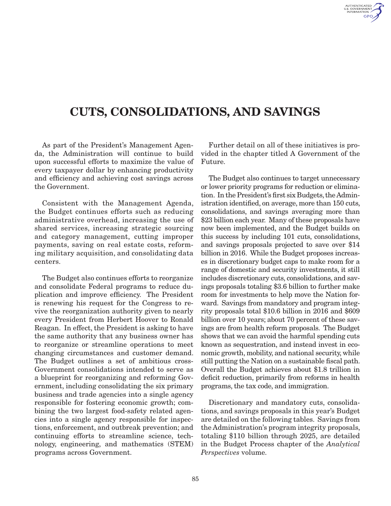

## CUTS, CONSOLIDATIONS, AND SAVINGS

As part of the President's Management Agenda, the Administration will continue to build upon successful efforts to maximize the value of every taxpayer dollar by enhancing productivity and efficiency and achieving cost savings across the Government.

Consistent with the Management Agenda, the Budget continues efforts such as reducing administrative overhead, increasing the use of shared services, increasing strategic sourcing and category management, cutting improper payments, saving on real estate costs, reforming military acquisition, and consolidating data centers.

The Budget also continues efforts to reorganize and consolidate Federal programs to reduce duplication and improve efficiency. The President is renewing his request for the Congress to revive the reorganization authority given to nearly every President from Herbert Hoover to Ronald Reagan. In effect, the President is asking to have the same authority that any business owner has to reorganize or streamline operations to meet changing circumstances and customer demand. The Budget outlines a set of ambitious cross-Government consolidations intended to serve as a blueprint for reorganizing and reforming Government, including consolidating the six primary business and trade agencies into a single agency responsible for fostering economic growth; combining the two largest food-safety related agencies into a single agency responsible for inspections, enforcement, and outbreak prevention; and continuing efforts to streamline science, technology, engineering, and mathematics (STEM) programs across Government.

Further detail on all of these initiatives is provided in the chapter titled A Government of the Future.

The Budget also continues to target unnecessary or lower priority programs for reduction or elimination. In the President's first six Budgets, the Administration identified, on average, more than 150 cuts, consolidations, and savings averaging more than \$23 billion each year. Many of these proposals have now been implemented, and the Budget builds on this success by including 101 cuts, consolidations, and savings proposals projected to save over \$14 billion in 2016. While the Budget proposes increases in discretionary budget caps to make room for a range of domestic and security investments, it still includes discretionary cuts, consolidations, and savings proposals totaling \$3.6 billion to further make room for investments to help move the Nation forward. Savings from mandatory and program integrity proposals total \$10.6 billion in 2016 and \$609 billion over 10 years; about 70 percent of these savings are from health reform proposals. The Budget shows that we can avoid the harmful spending cuts known as sequestration, and instead invest in economic growth, mobility, and national security, while still putting the Nation on a sustainable fiscal path. Overall the Budget achieves about \$1.8 trillion in deficit reduction, primarily from reforms in health programs, the tax code, and immigration.

Discretionary and mandatory cuts, consolidations, and savings proposals in this year's Budget are detailed on the following tables. Savings from the Administration's program integrity proposals, totaling \$110 billion through 2025, are detailed in the Budget Process chapter of the *Analytical Perspectives* volume.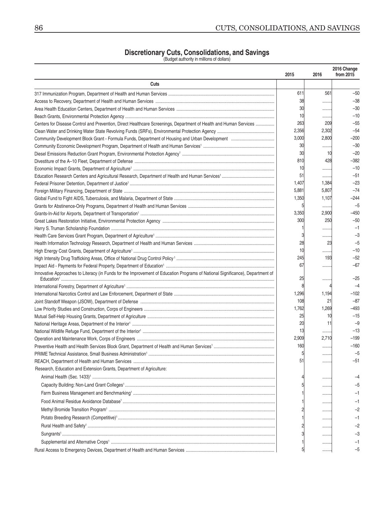## **Discretionary Cuts, Consolidations, and Savings**<br>(Budget authority in millions of dollars)

|                                                                                                                                | 2015  | 2016  | 2016 Change<br>from 2015 |
|--------------------------------------------------------------------------------------------------------------------------------|-------|-------|--------------------------|
| Cuts                                                                                                                           |       |       |                          |
|                                                                                                                                | 611   | 561   | $-50$                    |
|                                                                                                                                | 38    |       | $-38$                    |
|                                                                                                                                | 30    | .     | $-30$                    |
|                                                                                                                                | 10    |       | $-10$                    |
| Centers for Disease Control and Prevention, Direct Healthcare Screenings, Department of Health and Human Services              | 263   | 209   | $-55$                    |
|                                                                                                                                | 2,356 | 2,302 | $-54$                    |
|                                                                                                                                | 3,000 | 2,800 | $-200$                   |
|                                                                                                                                | 30    |       | $-30$                    |
|                                                                                                                                | 30    | 10    | $-20$                    |
|                                                                                                                                | 810   | 428   | $-382$                   |
|                                                                                                                                | 10    |       | $-10$                    |
|                                                                                                                                | 51    |       | $-51$                    |
|                                                                                                                                | 1,407 | 1,384 | $-23$                    |
|                                                                                                                                | 5,881 | 5,807 | $-74$                    |
|                                                                                                                                | 1,350 | 1,107 | $-244$                   |
|                                                                                                                                | 5     |       | $-5$                     |
|                                                                                                                                | 3,350 | 2,900 | $-450$                   |
|                                                                                                                                | 300   | 250   | $-50$                    |
|                                                                                                                                |       |       | $-1$                     |
|                                                                                                                                |       | .     | $-3$                     |
|                                                                                                                                | 28    | 23    | $-5$                     |
|                                                                                                                                | 10    | .     | $-10$                    |
|                                                                                                                                | 245   | 193   | $-52$                    |
|                                                                                                                                | 67    |       | $-67$                    |
| Innovative Approaches to Literacy (in Funds for the Improvement of Education Programs of National Significance), Department of | 25    | .     | $-25$                    |
|                                                                                                                                |       |       | $-4$                     |
|                                                                                                                                | 1,296 | 1,194 | $-102$                   |
|                                                                                                                                | 108   | 21    | $-87$                    |
|                                                                                                                                | 1,762 | 1,269 | $-493$                   |
|                                                                                                                                | 25    | 10    | $-15$                    |
|                                                                                                                                | 20    | 11    | $-9$                     |
|                                                                                                                                | 13    |       | $-13$                    |
|                                                                                                                                | 2,909 | 2,710 | $-199$                   |
|                                                                                                                                | 160   |       | $-160$                   |
|                                                                                                                                |       |       | -5                       |
|                                                                                                                                | 51    |       | -51                      |
| Research, Education and Extension Grants, Department of Agriculture:                                                           |       |       |                          |
|                                                                                                                                |       |       |                          |
|                                                                                                                                |       |       |                          |
|                                                                                                                                |       |       |                          |
|                                                                                                                                |       |       |                          |
|                                                                                                                                |       |       |                          |
|                                                                                                                                |       |       |                          |
|                                                                                                                                |       |       |                          |
|                                                                                                                                |       |       |                          |
|                                                                                                                                |       |       | -3                       |
|                                                                                                                                |       |       |                          |
|                                                                                                                                |       |       | -5                       |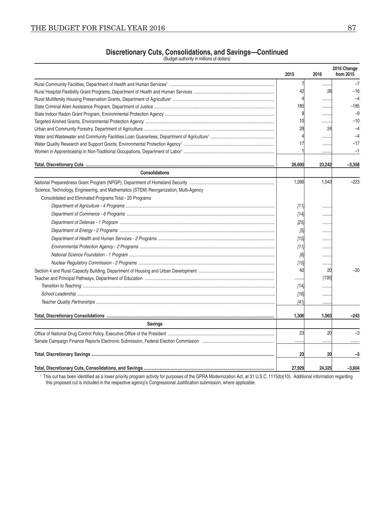## **Discretionary Cuts, Consolidations, and Savings-Continued**<br>(Budget authority in millions of dollars)

|                                                                                       | 2015           | 2016    | 2016 Change<br>from 2015 |  |
|---------------------------------------------------------------------------------------|----------------|---------|--------------------------|--|
|                                                                                       | 7              |         | $-7$                     |  |
|                                                                                       | 42             | .<br>26 | $-16$                    |  |
|                                                                                       |                | .       | $-4$                     |  |
|                                                                                       | 185            | .       | $-185$                   |  |
|                                                                                       |                | .       | $-9$                     |  |
|                                                                                       | 10             | .       | $-10$                    |  |
|                                                                                       | 28             | 24      | $-4$                     |  |
|                                                                                       | $\overline{4}$ |         | $-4$                     |  |
|                                                                                       | 17             | .       | $-17$                    |  |
|                                                                                       |                | .       | $-1$                     |  |
|                                                                                       | 26,600         | 23,242  | $-3,358$                 |  |
| <b>Consolidations</b>                                                                 |                |         |                          |  |
|                                                                                       | 1,266          | 1,043   | $-223$                   |  |
| Science, Technology, Engineering, and Mathematics (STEM) Reorganization, Multi-Agency |                |         |                          |  |
| Consolidated and Eliminated Programs Total - 20 Programs                              |                |         |                          |  |
|                                                                                       | $[11]$         |         |                          |  |
|                                                                                       | [14]           |         |                          |  |
|                                                                                       |                |         |                          |  |
|                                                                                       | [25]           |         |                          |  |
|                                                                                       | [5]            |         |                          |  |
|                                                                                       | [15]           | .       |                          |  |
|                                                                                       | [11]           | .       |                          |  |
|                                                                                       | [6]            |         |                          |  |
|                                                                                       | $[15]$         |         |                          |  |
|                                                                                       | 40             | 20      | $-20$                    |  |
|                                                                                       |                | [139]   |                          |  |
|                                                                                       | [14]           |         |                          |  |
|                                                                                       | $[16]$         | .       |                          |  |
|                                                                                       | [41]           | .       |                          |  |
|                                                                                       | 1,306          | 1,063   | $-243$                   |  |
| <b>Savings</b>                                                                        |                |         |                          |  |
|                                                                                       | 23             | 20      | $-3$                     |  |
|                                                                                       |                | .       |                          |  |
|                                                                                       | 23             | 20      | $-3$                     |  |
|                                                                                       | 27,929         | 24,325  | $-3,604$                 |  |

<sup>1</sup> This cut has been identified as a lower priority program activity for purposes of the GPRA Modernization Act, at 31 U.S.C. 1115(b)(10). Additional information regarding this proposed cut is included in the respective agency's Congressional Justification submission, where applicable.